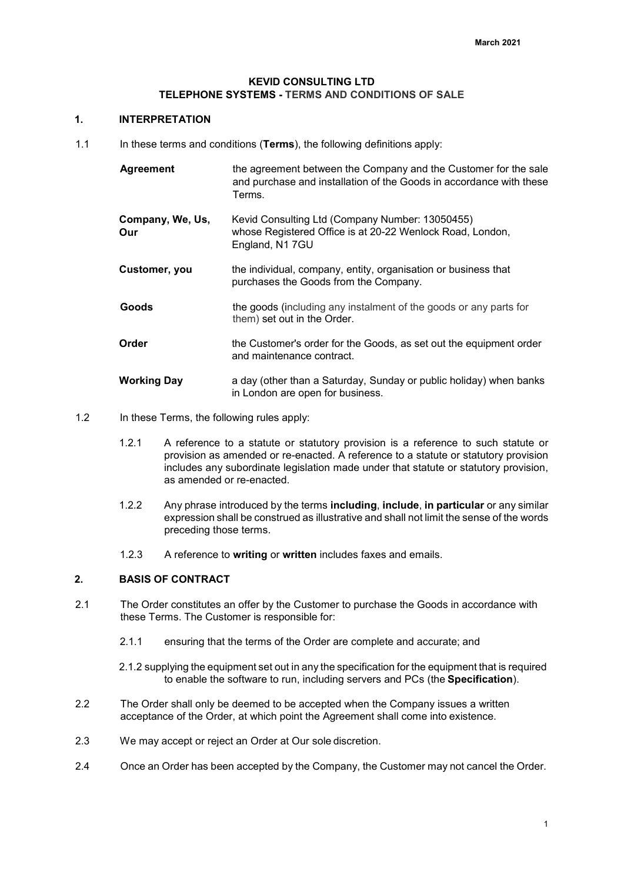### **KEVID CONSULTING LTD TELEPHONE SYSTEMS - TERMS AND CONDITIONS OF SALE**

#### **1. INTERPRETATION**

1.1 In these terms and conditions (**Terms**), the following definitions apply:

| Agreement               | the agreement between the Company and the Customer for the sale<br>and purchase and installation of the Goods in accordance with these<br>Terms. |
|-------------------------|--------------------------------------------------------------------------------------------------------------------------------------------------|
| Company, We, Us,<br>Our | Kevid Consulting Ltd (Company Number: 13050455)<br>whose Registered Office is at 20-22 Wenlock Road, London,<br>England, N1 7GU                  |
| Customer, you           | the individual, company, entity, organisation or business that<br>purchases the Goods from the Company.                                          |
| Goods                   | the goods (including any instalment of the goods or any parts for<br>them) set out in the Order.                                                 |
| Order                   | the Customer's order for the Goods, as set out the equipment order<br>and maintenance contract.                                                  |
| <b>Working Day</b>      | a day (other than a Saturday, Sunday or public holiday) when banks<br>in London are open for business.                                           |

- 1.2 In these Terms, the following rules apply:
	- 1.2.1 A reference to a statute or statutory provision is a reference to such statute or provision as amended or re-enacted. A reference to a statute or statutory provision includes any subordinate legislation made under that statute or statutory provision, as amended or re-enacted.
	- 1.2.2 Any phrase introduced by the terms **including**, **include**, **in particular** or any similar expression shall be construed as illustrative and shall not limit the sense of the words preceding those terms.
	- 1.2.3 A reference to **writing** or **written** includes faxes and emails.

## **2. BASIS OF CONTRACT**

- 2.1 The Order constitutes an offer by the Customer to purchase the Goods in accordance with these Terms. The Customer is responsible for:
	- 2.1.1 ensuring that the terms of the Order are complete and accurate; and
	- 2.1.2 supplying the equipment set out in any the specification for the equipment that is required to enable the software to run, including servers and PCs (the **Specification**).
- 2.2 The Order shall only be deemed to be accepted when the Company issues a written acceptance of the Order, at which point the Agreement shall come into existence.
- 2.3 We may accept or reject an Order at Our sole discretion.
- 2.4 Once an Order has been accepted by the Company, the Customer may not cancel the Order.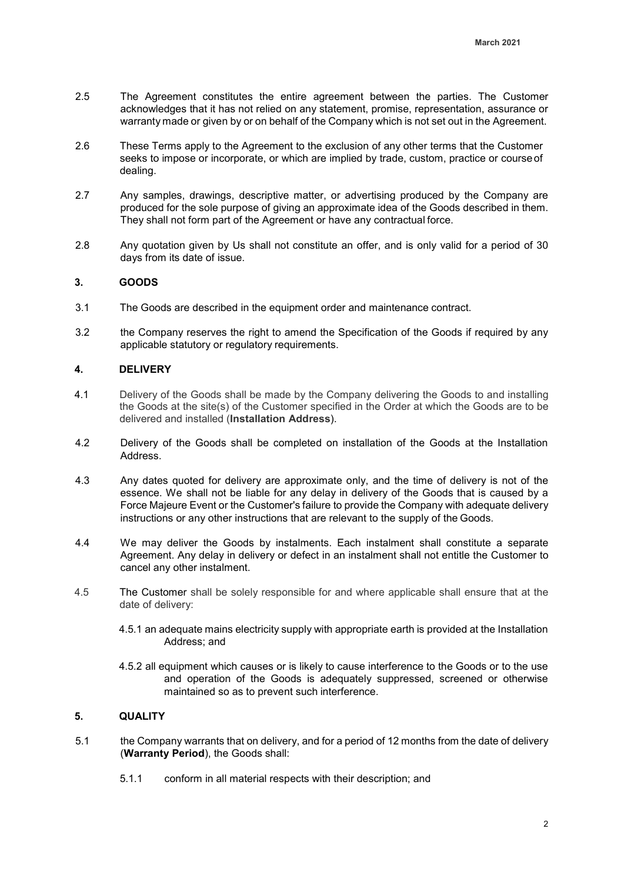- 2.5 The Agreement constitutes the entire agreement between the parties. The Customer acknowledges that it has not relied on any statement, promise, representation, assurance or warranty made or given by or on behalf of the Company which is not set out in the Agreement.
- 2.6 These Terms apply to the Agreement to the exclusion of any other terms that the Customer seeks to impose or incorporate, or which are implied by trade, custom, practice or course of dealing.
- 2.7 Any samples, drawings, descriptive matter, or advertising produced by the Company are produced for the sole purpose of giving an approximate idea of the Goods described in them. They shall not form part of the Agreement or have any contractual force.
- 2.8 Any quotation given by Us shall not constitute an offer, and is only valid for a period of 30 days from its date of issue.

## **3. GOODS**

- 3.1 The Goods are described in the equipment order and maintenance contract.
- 3.2 the Company reserves the right to amend the Specification of the Goods if required by any applicable statutory or regulatory requirements.

### **4. DELIVERY**

- 4.1 Delivery of the Goods shall be made by the Company delivering the Goods to and installing the Goods at the site(s) of the Customer specified in the Order at which the Goods are to be delivered and installed (**Installation Address**).
- 4.2 Delivery of the Goods shall be completed on installation of the Goods at the Installation Address.
- 4.3 Any dates quoted for delivery are approximate only, and the time of delivery is not of the essence. We shall not be liable for any delay in delivery of the Goods that is caused by a Force Majeure Event or the Customer's failure to provide the Company with adequate delivery instructions or any other instructions that are relevant to the supply of the Goods.
- 4.4 We may deliver the Goods by instalments. Each instalment shall constitute a separate Agreement. Any delay in delivery or defect in an instalment shall not entitle the Customer to cancel any other instalment.
- 4.5 The Customer shall be solely responsible for and where applicable shall ensure that at the date of delivery:
	- 4.5.1 an adequate mains electricity supply with appropriate earth is provided at the Installation Address; and
	- 4.5.2 all equipment which causes or is likely to cause interference to the Goods or to the use and operation of the Goods is adequately suppressed, screened or otherwise maintained so as to prevent such interference.

## **5. QUALITY**

- 5.1 the Company warrants that on delivery, and for a period of 12 months from the date of delivery (**Warranty Period**), the Goods shall:
	- 5.1.1 conform in all material respects with their description; and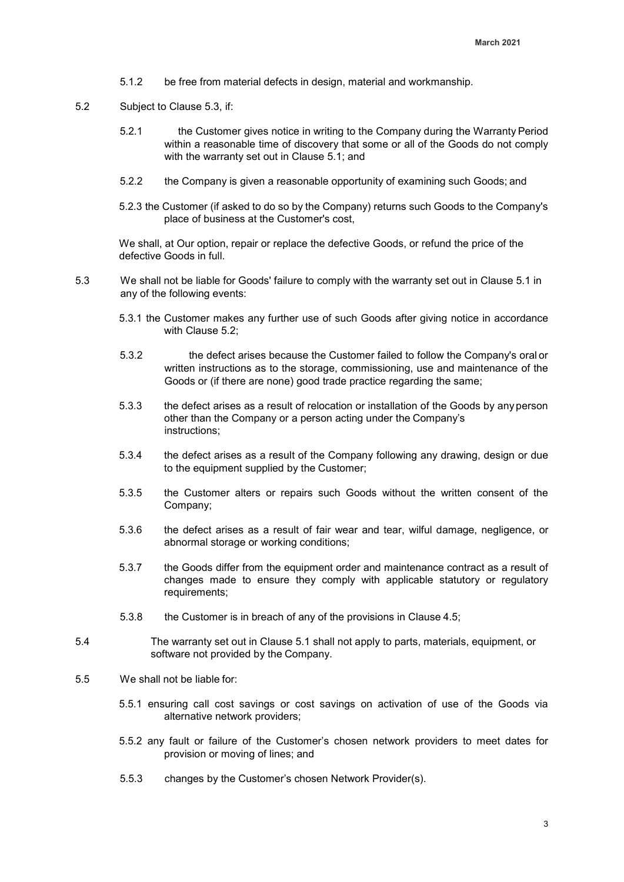- 5.1.2 be free from material defects in design, material and workmanship.
- 5.2 Subject to Clause 5.3, if:
	- 5.2.1 the Customer gives notice in writing to the Company during the Warranty Period within a reasonable time of discovery that some or all of the Goods do not comply with the warranty set out in Clause 5.1; and
	- 5.2.2 the Company is given a reasonable opportunity of examining such Goods; and
	- 5.2.3 the Customer (if asked to do so by the Company) returns such Goods to the Company's place of business at the Customer's cost,

We shall, at Our option, repair or replace the defective Goods, or refund the price of the defective Goods in full.

- 5.3 We shall not be liable for Goods' failure to comply with the warranty set out in Clause 5.1 in any of the following events:
	- 5.3.1 the Customer makes any further use of such Goods after giving notice in accordance with Clause 5.2;
	- 5.3.2 the defect arises because the Customer failed to follow the Company's oral or written instructions as to the storage, commissioning, use and maintenance of the Goods or (if there are none) good trade practice regarding the same;
	- 5.3.3 the defect arises as a result of relocation or installation of the Goods by anyperson other than the Company or a person acting under the Company's instructions;
	- 5.3.4 the defect arises as a result of the Company following any drawing, design or due to the equipment supplied by the Customer;
	- 5.3.5 the Customer alters or repairs such Goods without the written consent of the Company;
	- 5.3.6 the defect arises as a result of fair wear and tear, wilful damage, negligence, or abnormal storage or working conditions;
	- 5.3.7 the Goods differ from the equipment order and maintenance contract as a result of changes made to ensure they comply with applicable statutory or regulatory requirements;
	- 5.3.8 the Customer is in breach of any of the provisions in Clause 4.5;
- 5.4 The warranty set out in Clause 5.1 shall not apply to parts, materials, equipment, or software not provided by the Company.
- 5.5 We shall not be liable for:
	- 5.5.1 ensuring call cost savings or cost savings on activation of use of the Goods via alternative network providers;
	- 5.5.2 any fault or failure of the Customer's chosen network providers to meet dates for provision or moving of lines; and
	- 5.5.3 changes by the Customer's chosen Network Provider(s).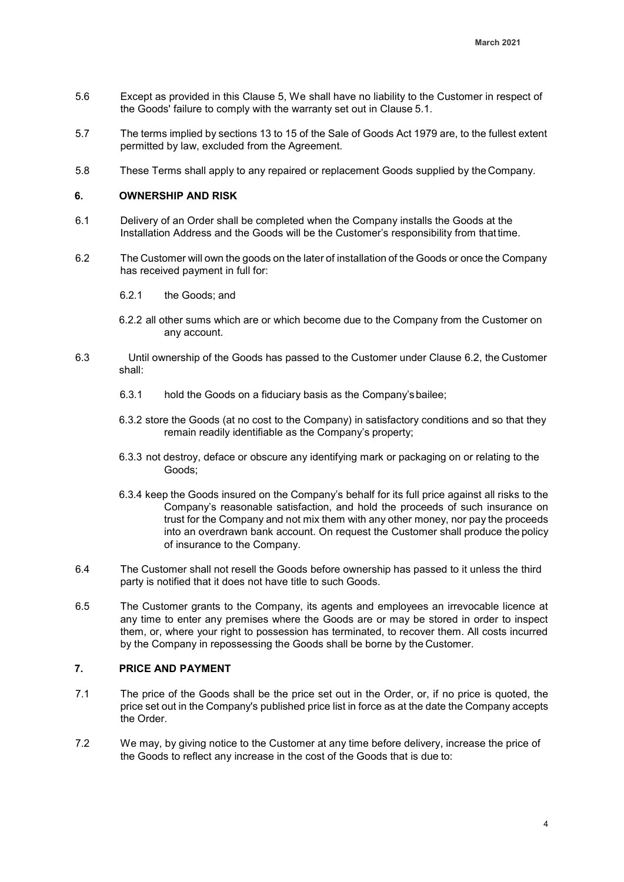- 5.6 Except as provided in this Clause 5, We shall have no liability to the Customer in respect of the Goods' failure to comply with the warranty set out in Clause 5.1.
- 5.7 The terms implied by sections 13 to 15 of the Sale of Goods Act 1979 are, to the fullest extent permitted by law, excluded from the Agreement.
- 5.8 These Terms shall apply to any repaired or replacement Goods supplied by the Company.

#### **6. OWNERSHIP AND RISK**

- 6.1 Delivery of an Order shall be completed when the Company installs the Goods at the Installation Address and the Goods will be the Customer's responsibility from that time.
- 6.2 The Customer will own the goods on the later of installation of the Goods or once the Company has received payment in full for:
	- 6.2.1 the Goods; and
	- 6.2.2 all other sums which are or which become due to the Company from the Customer on any account.
- 6.3 Until ownership of the Goods has passed to the Customer under Clause 6.2, the Customer shall:
	- 6.3.1 hold the Goods on a fiduciary basis as the Company'sbailee;
	- 6.3.2 store the Goods (at no cost to the Company) in satisfactory conditions and so that they remain readily identifiable as the Company's property;
	- 6.3.3 not destroy, deface or obscure any identifying mark or packaging on or relating to the Goods;
	- 6.3.4 keep the Goods insured on the Company's behalf for its full price against all risks to the Company's reasonable satisfaction, and hold the proceeds of such insurance on trust for the Company and not mix them with any other money, nor pay the proceeds into an overdrawn bank account. On request the Customer shall produce the policy of insurance to the Company.
- 6.4 The Customer shall not resell the Goods before ownership has passed to it unless the third party is notified that it does not have title to such Goods.
- 6.5 The Customer grants to the Company, its agents and employees an irrevocable licence at any time to enter any premises where the Goods are or may be stored in order to inspect them, or, where your right to possession has terminated, to recover them. All costs incurred by the Company in repossessing the Goods shall be borne by the Customer.

### **7. PRICE AND PAYMENT**

- 7.1 The price of the Goods shall be the price set out in the Order, or, if no price is quoted, the price set out in the Company's published price list in force as at the date the Company accepts the Order.
- 7.2 We may, by giving notice to the Customer at any time before delivery, increase the price of the Goods to reflect any increase in the cost of the Goods that is due to: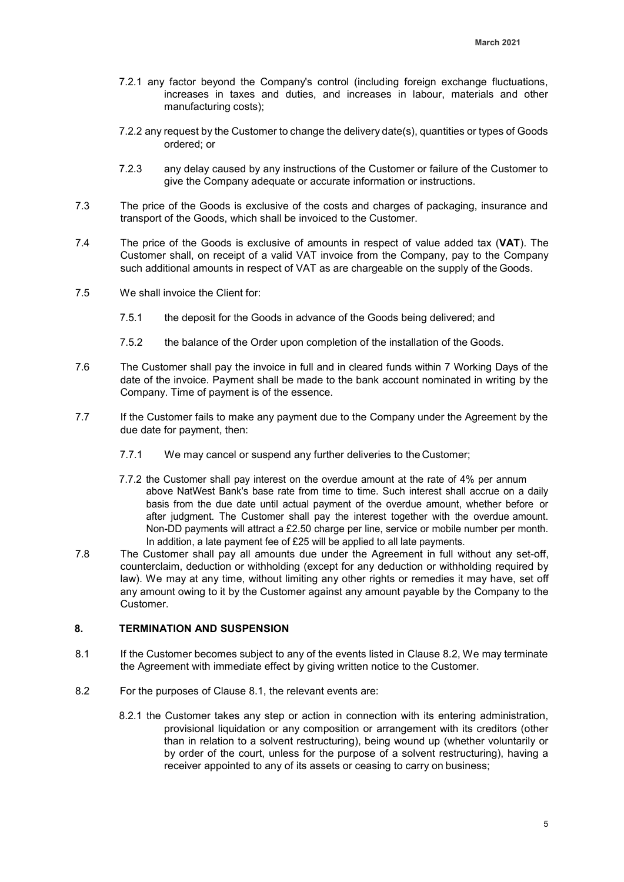- 7.2.1 any factor beyond the Company's control (including foreign exchange fluctuations, increases in taxes and duties, and increases in labour, materials and other manufacturing costs);
- 7.2.2 any request by the Customer to change the delivery date(s), quantities or types of Goods ordered; or
- 7.2.3 any delay caused by any instructions of the Customer or failure of the Customer to give the Company adequate or accurate information or instructions.
- 7.3 The price of the Goods is exclusive of the costs and charges of packaging, insurance and transport of the Goods, which shall be invoiced to the Customer.
- 7.4 The price of the Goods is exclusive of amounts in respect of value added tax (**VAT**). The Customer shall, on receipt of a valid VAT invoice from the Company, pay to the Company such additional amounts in respect of VAT as are chargeable on the supply of the Goods.
- 7.5 We shall invoice the Client for:
	- 7.5.1 the deposit for the Goods in advance of the Goods being delivered; and
	- 7.5.2 the balance of the Order upon completion of the installation of the Goods.
- 7.6 The Customer shall pay the invoice in full and in cleared funds within 7 Working Days of the date of the invoice. Payment shall be made to the bank account nominated in writing by the Company. Time of payment is of the essence.
- 7.7 If the Customer fails to make any payment due to the Company under the Agreement by the due date for payment, then:
	- 7.7.1 We may cancel or suspend any further deliveries to the Customer;
	- 7.7.2 the Customer shall pay interest on the overdue amount at the rate of 4% per annum above NatWest Bank's base rate from time to time. Such interest shall accrue on a daily basis from the due date until actual payment of the overdue amount, whether before or after judgment. The Customer shall pay the interest together with the overdue amount. Non-DD payments will attract a £2.50 charge per line, service or mobile number per month. In addition, a late payment fee of £25 will be applied to all late payments.
- 7.8 The Customer shall pay all amounts due under the Agreement in full without any set-off, counterclaim, deduction or withholding (except for any deduction or withholding required by law). We may at any time, without limiting any other rights or remedies it may have, set off any amount owing to it by the Customer against any amount payable by the Company to the **Customer**

## **8. TERMINATION AND SUSPENSION**

- 8.1 If the Customer becomes subject to any of the events listed in Clause 8.2, We may terminate the Agreement with immediate effect by giving written notice to the Customer.
- 8.2 For the purposes of Clause 8.1, the relevant events are:
	- 8.2.1 the Customer takes any step or action in connection with its entering administration, provisional liquidation or any composition or arrangement with its creditors (other than in relation to a solvent restructuring), being wound up (whether voluntarily or by order of the court, unless for the purpose of a solvent restructuring), having a receiver appointed to any of its assets or ceasing to carry on business;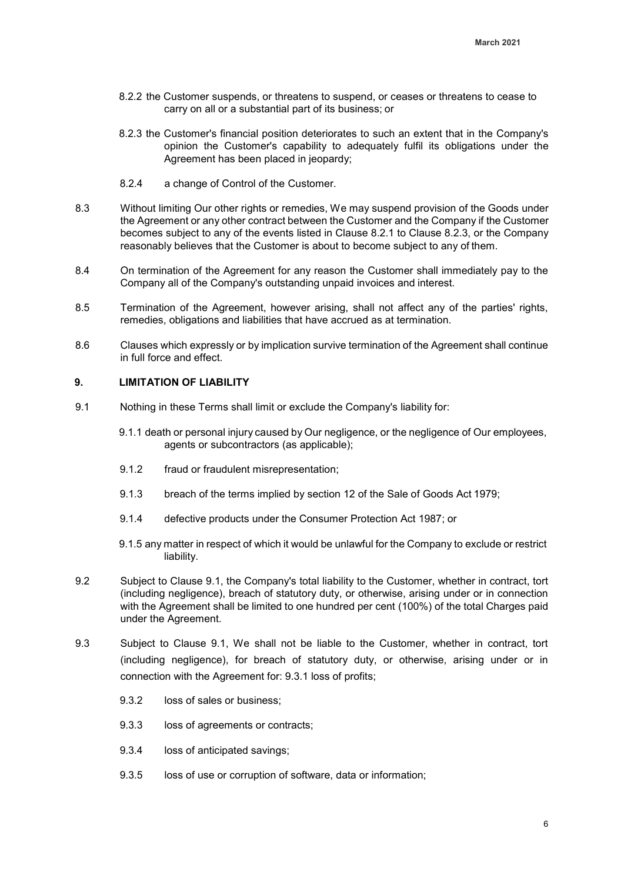- 8.2.2 the Customer suspends, or threatens to suspend, or ceases or threatens to cease to carry on all or a substantial part of its business; or
- 8.2.3 the Customer's financial position deteriorates to such an extent that in the Company's opinion the Customer's capability to adequately fulfil its obligations under the Agreement has been placed in jeopardy;
- 8.2.4 a change of Control of the Customer.
- 8.3 Without limiting Our other rights or remedies, We may suspend provision of the Goods under the Agreement or any other contract between the Customer and the Company if the Customer becomes subject to any of the events listed in Clause 8.2.1 to Clause 8.2.3, or the Company reasonably believes that the Customer is about to become subject to any of them.
- 8.4 On termination of the Agreement for any reason the Customer shall immediately pay to the Company all of the Company's outstanding unpaid invoices and interest.
- 8.5 Termination of the Agreement, however arising, shall not affect any of the parties' rights, remedies, obligations and liabilities that have accrued as at termination.
- 8.6 Clauses which expressly or by implication survive termination of the Agreement shall continue in full force and effect.

# **9. LIMITATION OF LIABILITY**

- 9.1 Nothing in these Terms shall limit or exclude the Company's liability for:
	- 9.1.1 death or personal injury caused by Our negligence, or the negligence of Our employees, agents or subcontractors (as applicable);
	- 9.1.2 fraud or fraudulent misrepresentation;
	- 9.1.3 breach of the terms implied by section 12 of the Sale of Goods Act 1979;
	- 9.1.4 defective products under the Consumer Protection Act 1987; or
	- 9.1.5 any matter in respect of which it would be unlawful for the Company to exclude or restrict liability.
- 9.2 Subject to Clause 9.1, the Company's total liability to the Customer, whether in contract, tort (including negligence), breach of statutory duty, or otherwise, arising under or in connection with the Agreement shall be limited to one hundred per cent (100%) of the total Charges paid under the Agreement.
- 9.3 Subject to Clause 9.1, We shall not be liable to the Customer, whether in contract, tort (including negligence), for breach of statutory duty, or otherwise, arising under or in connection with the Agreement for: 9.3.1 loss of profits;
	- 9.3.2 loss of sales or business;
	- 9.3.3 loss of agreements or contracts;
	- 9.3.4 loss of anticipated savings;
	- 9.3.5 loss of use or corruption of software, data or information;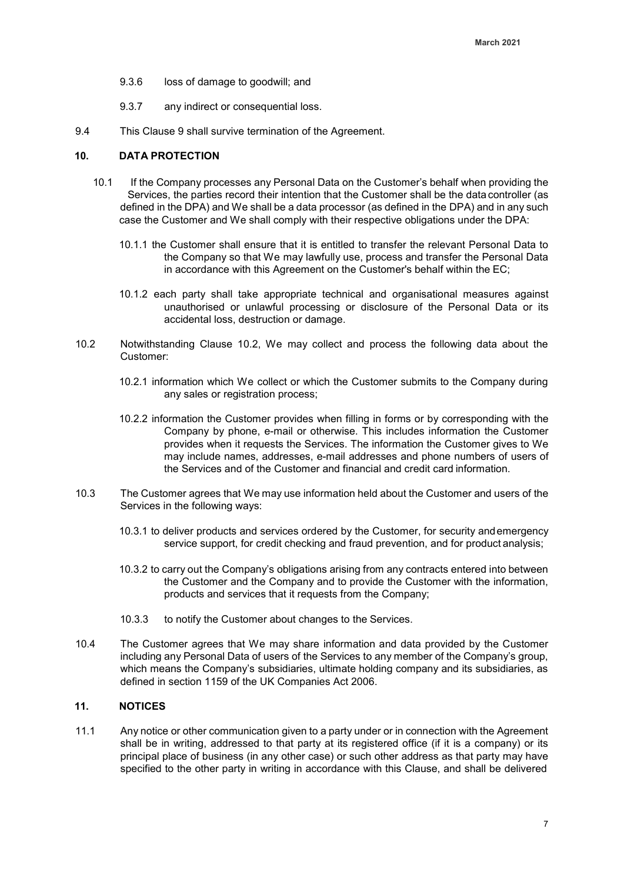- 9.3.6 loss of damage to goodwill; and
- 9.3.7 any indirect or consequential loss.
- 9.4 This Clause 9 shall survive termination of the Agreement.

#### **10. DATA PROTECTION**

- 10.1 If the Company processes any Personal Data on the Customer's behalf when providing the Services, the parties record their intention that the Customer shall be the datacontroller (as defined in the DPA) and We shall be a data processor (as defined in the DPA) and in any such case the Customer and We shall comply with their respective obligations under the DPA:
	- 10.1.1 the Customer shall ensure that it is entitled to transfer the relevant Personal Data to the Company so that We may lawfully use, process and transfer the Personal Data in accordance with this Agreement on the Customer's behalf within the EC;
	- 10.1.2 each party shall take appropriate technical and organisational measures against unauthorised or unlawful processing or disclosure of the Personal Data or its accidental loss, destruction or damage.
- 10.2 Notwithstanding Clause 10.2, We may collect and process the following data about the Customer:
	- 10.2.1 information which We collect or which the Customer submits to the Company during any sales or registration process;
	- 10.2.2 information the Customer provides when filling in forms or by corresponding with the Company by phone, e-mail or otherwise. This includes information the Customer provides when it requests the Services. The information the Customer gives to We may include names, addresses, e-mail addresses and phone numbers of users of the Services and of the Customer and financial and credit card information.
- 10.3 The Customer agrees that We may use information held about the Customer and users of the Services in the following ways:
	- 10.3.1 to deliver products and services ordered by the Customer, for security andemergency service support, for credit checking and fraud prevention, and for product analysis;
	- 10.3.2 to carry out the Company's obligations arising from any contracts entered into between the Customer and the Company and to provide the Customer with the information, products and services that it requests from the Company;
	- 10.3.3 to notify the Customer about changes to the Services.
- 10.4 The Customer agrees that We may share information and data provided by the Customer including any Personal Data of users of the Services to any member of the Company's group, which means the Company's subsidiaries, ultimate holding company and its subsidiaries, as defined in section 1159 of the UK Companies Act 2006.

#### **11. NOTICES**

11.1 Any notice or other communication given to a party under or in connection with the Agreement shall be in writing, addressed to that party at its registered office (if it is a company) or its principal place of business (in any other case) or such other address as that party may have specified to the other party in writing in accordance with this Clause, and shall be delivered